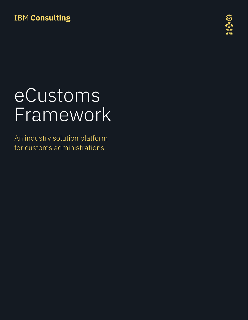# **IBM Consulting**



# eCustoms Framework

An industry solution platform for customs administrations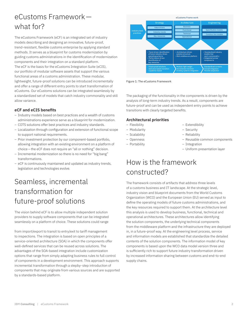### eCustoms Framework what for?

The eCustoms Framework (eCF) is an integrated set of industry models describing and designing an innovative, future-proof, trend-resistant, flexible customs enterprise by applying standard methods. It serves as a blueprint for customs modernization by guiding customs administrations in the identification of modernization components and their integration on a standard platform. The eCF is the basis for the eCustoms Integration Suite (eCIS), our portfolio of modular software assets that support the various functional areas of a customs administration. These modular, lightweight, future-proof solutions can be introduced incrementally and offer a range of different entry points to start transformation of eCustoms. Our eCustoms solutions can be integrated seamlessly by a standardized set of models that catch industry commonality and still allow variance.

#### **eCF and eCIS benefits**

- Industry models based on best practices and a wealth of customs administrations experience serve as a blueprint for modernization.
- COTS solutions offer best practices and industry standards.
- Localization through configuration and extension of functional scope to support national requirements.
- Prior investment protection by our component-based portfolio, allowing integration with an existing environment on a platform of choice—the eCF does not require an "all or nothing" decision.
- Incremental modernization so there is no need for "big bang" transformations.
- eCF is continuously maintained and updated as industry trends, legislation and technologies evolve.

### Seamless, incremental transformation for future-proof solutions

The vision behind eCF is to allow multiple independent solution providers to supply software components that can be integrated seamlessly on a platform of choice. These solutions could range

from import/export to transit to entry/exit to tariff management to inspections. The integration is based on open principles of a service-oriented architecture (SOA) in which the components offer well-defined services that can be reused across solutions. The advantages of the SOA-based integration include customization options that range from simply adapting business rules to full control of components in a development environment. This approach supports incremental transformation through a stepby- step introduction of components that may originate from various sources and are supported by a standards-based platform.



Figure 1: The eCustoms Framework

The packaging of the functionality in the components is driven by the analysis of long-term industry trends. As a result, components are future-proof and can be used as independent entry points to achieve transitions with clearly targeted benefits.

#### **Architectural priorities**

- Flexibility
- Modularity
- Scalability
- Openness
- Portability
- Extendibility
- Security
- Reliability
- Reusable common components
- Integration
- Uniform presentation layer

### How is the framework constructed?

The framework consists of artifacts that address three levels of a customs business and IT landscape. At the strategic level, industry vision and blueprint documents from the World Customs Organization (WCO) and the European Union (EU) served as input to define the operating models of future customs administrations, and the key resources required to support them. At the architecture level this analysis is used to develop business, functional, technical and operational architectures. These architectures allow identifying the solution components, the underlying technical components from the middleware platform and the infrastructure they are deployed in, in a future-proof way. At the engineering level process, service and information models are established that standardize the detailed contents of the solution components. The information model of key components is based upon the WCO data model version three and is sufficiently rich to support future industry transformation driven by increased information sharing between customs and end-to-end supply chains.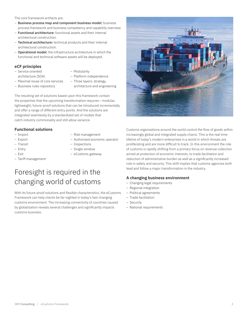The core framework artifacts are:

- Business process map and component business model: business process framework and business competency and capability overview.
- Functional architecture: functional assets and their internal architectural construction.
- Technical architecture: technical products and their internal architectural construction.
- Operational model: the infrastructure architecture in which the functional and technical software assets will be deployed.

#### **eCF principles**

- Service oriented architecture (SOA)
- Modularity
- Platform independence
- Maximal reuse of core services
	-
- Business rules repository
- Three layers: strategy, architecture and engineering

The resulting set of solutions based upon this framework contain the properties that the upcoming transformation requires—modular, lightweight, future-proof solutions that can be introduced incrementally and offer a range of different entry points. And the solutions are integrated seamlessly by a standardized set of models that catch industry commonality and still allow variance.

#### **Functional solutions**

– Import

- Risk management
- Authorized economic operator
- Export – Transit
	-
- Entry – Exit
- 
- Tariff management
- Inspections – Single window
- eCustoms gateway

### Foresight is required in the changing world of customs

With its future-proof solutions and flexible characteristics, the eCustoms Framework can help clients be far-sighted in today's fast changing customs environment. The increasing connectivity of countries caused by globalization reveals several challenges and significantly impacts customs business.



Customs organizations around the world control the flow of goods within increasingly global and integrated supply chains. This is the real time lifeline of today's modern enterprises in a world in which threats are proliferating and are more difficult to track. In this environment the role of customs is rapidly shifting from a primary focus on revenue collection aimed at protection of economic interests, to trade facilitation and reduction of administrative burden as well as a significantly increased role in safety and security. This shift implies that customs agencies both lead and follow a major transformation in the industry.

#### **A changing business environment**

- Changing legal requirements
- Regional integration
- Political agreements
- Trade facilitation
- Security
- National requirements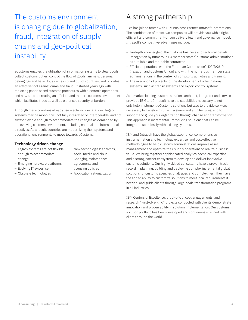The customs environment is changing due to globalization, fraud, integration of supply chains and geo-political instability.

eCustoms enables the utilization of information systems to clear goods, collect customs duties, control the flow of goods, animals, personal belongings and hazardous items into and out of countries, and provides an effective tool against crime and fraud. It started years ago with replacing paper-based customs procedures with electronic operations, and now aims at creating an efficient and modern customs environment which facilitates trade as well as enhances security at borders.

Although many countries already use electronic declarations, legacy systems may be monolithic, not fully integrated or interoperable, and not always flexible enough to accommodate the changes as demanded by the evolving customs environment, including national and international directives. As a result, countries are modernizing their systems and operational environments to move towards eCustoms.

#### **Technology driven change**

- Legacy systems are not flexible enough to accommodate change
- Emerging hardware platforms
- Evolving IT expertise
- Obsolete technologies
- New technologies: analytics, social media and cloud
- Changing maintenance agreements and
- licensing policies
- Application rationalization

# A strong partnership

IBM has joined forces with IBM Business Partner Intrasoft International. The combination of these two companies will provide you with a tight, efficient and commitment-driven delivery team and governance model. Intrasoft's competitive advantages include:

- In-depth knowledge of the customs business and technical details.
- Recognition by numerous EU member states' customs administrations as a reliable and reputable contractor.
- Efficient operations with the European Commission's DG TAXUD (Taxation and Customs Union) and with the numerous member state administrations in the context of consulting activities and training.
- The execution of projects for the development of other national systems, such as transit systems and export control systems.

As a market-leading customs solutions architect, integrator and service provider, IBM and Intrasoft have the capabilities necessary to not only help implement eCustoms solutions but also to provide services necessary to transform current systems and architectures, and to support and guide your organization through change and transformation. This approach is incremental, introducing solutions that can be integrated seamlessly with existing systems.

IBM and Intrasoft have the global experience, comprehensive instrumentation and technology expertise, and cost-effective methodologies to help customs administrations improve asset management and optimize their supply operations to realize business value. We bring together sophisticated analytics, technical expertise and a strong partner ecosystem to develop and deliver innovative customs solutions. Our highly skilled consultants have a proven track record in planning, building and deploying complex incremental global solutions for customs agencies of all sizes and complexities. They have the added ability to customize solutions to meet local requirements if needed, and guide clients through large-scale transformation programs in all industries.

IBM Centers of Excellence, proof-of-concept engagements, and research "First-of-a-Kind" projects conducted with clients demonstrate innovation and proven ability in solution implementation. Our customs solution portfolio has been developed and continuously refined with clients around the world.